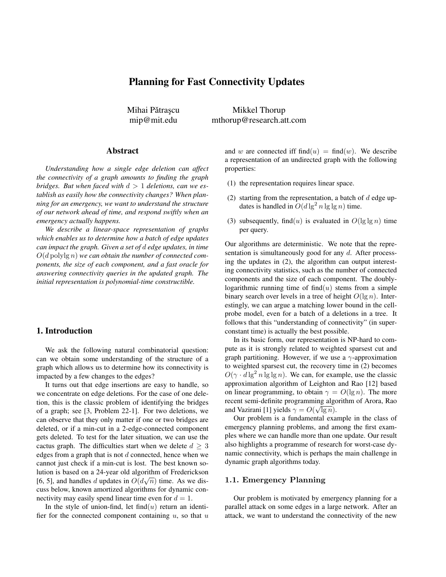# Planning for Fast Connectivity Updates

Mihai Pătrașcu mip@mit.edu

Mikkel Thorup mthorup@research.att.com

# Abstract

*Understanding how a single edge deletion can affect the connectivity of a graph amounts to finding the graph bridges. But when faced with* d > 1 *deletions, can we establish as easily how the connectivity changes? When planning for an emergency, we want to understand the structure of our network ahead of time, and respond swiftly when an emergency actually happens.*

*We describe a linear-space representation of graphs which enables us to determine how a batch of edge updates can impact the graph. Given a set of* d *edge updates, in time* O(d polylg n) *we can obtain the number of connected components, the size of each component, and a fast oracle for answering connectivity queries in the updated graph. The initial representation is polynomial-time constructible.*

# 1. Introduction

We ask the following natural combinatorial question: can we obtain some understanding of the structure of a graph which allows us to determine how its connectivity is impacted by a few changes to the edges?

It turns out that edge insertions are easy to handle, so we concentrate on edge deletions. For the case of one deletion, this is the classic problem of identifying the bridges of a graph; see [3, Problem 22-1]. For two deletions, we can observe that they only matter if one or two bridges are deleted, or if a min-cut in a 2-edge-connected component gets deleted. To test for the later situation, we can use the cactus graph. The difficulties start when we delete  $d \geq 3$ edges from a graph that is not  $d$  connected, hence when we cannot just check if a min-cut is lost. The best known solution is based on a 24-year old algorithm of Frederickson √ [6, 5], and handles d updates in  $O(d\sqrt{n})$  time. As we discuss below, known amortized algorithms for dynamic connectivity may easily spend linear time even for  $d = 1$ .

In the style of union-find, let find(u) return an identifier for the connected component containing  $u$ , so that  $u$  and w are connected iff find(u) = find(w). We describe a representation of an undirected graph with the following properties:

- (1) the representation requires linear space.
- (2) starting from the representation, a batch of  $d$  edge updates is handled in  $O(d \lg^2 n \lg \lg n)$  time.
- (3) subsequently, find(u) is evaluated in  $O(\lg \lg n)$  time per query.

Our algorithms are deterministic. We note that the representation is simultaneously good for any d. After processing the updates in (2), the algorithm can output interesting connectivity statistics, such as the number of connected components and the size of each component. The doublylogarithmic running time of find $(u)$  stems from a simple binary search over levels in a tree of height  $O(\lg n)$ . Interestingly, we can argue a matching lower bound in the cellprobe model, even for a batch of a deletions in a tree. It follows that this "understanding of connectivity" (in superconstant time) is actually the best possible.

In its basic form, our representation is NP-hard to compute as it is strongly related to weighted sparsest cut and graph partitioning. However, if we use a  $\gamma$ -approximation to weighted sparsest cut, the recovery time in (2) becomes  $O(\gamma \cdot d\lg^2 n \lg \lg n)$ . We can, for example, use the classic approximation algorithm of Leighton and Rao [12] based on linear programming, to obtain  $\gamma = O(\lg n)$ . The more recent semi-definite programming algorithm of Arora, Rao and Vazirani [1] yields  $\gamma = O(\sqrt{\lg n}).$ 

Our problem is a fundamental example in the class of emergency planning problems, and among the first examples where we can handle more than one update. Our result also highlights a programme of research for worst-case dynamic connectivity, which is perhaps the main challenge in dynamic graph algorithms today.

### 1.1. Emergency Planning

Our problem is motivated by emergency planning for a parallel attack on some edges in a large network. After an attack, we want to understand the connectivity of the new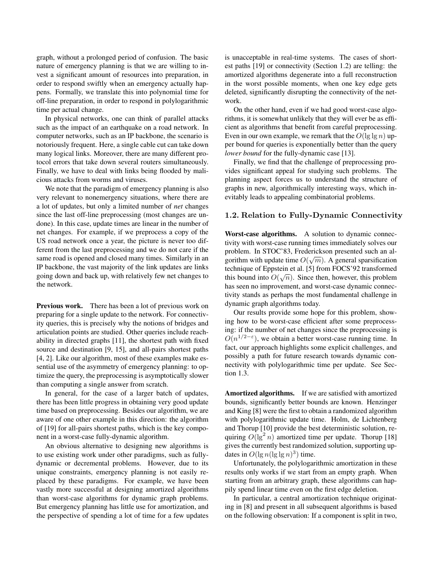graph, without a prolonged period of confusion. The basic nature of emergency planning is that we are willing to invest a significant amount of resources into preparation, in order to respond swiftly when an emergency actually happens. Formally, we translate this into polynomial time for off-line preparation, in order to respond in polylogarithmic time per actual change.

In physical networks, one can think of parallel attacks such as the impact of an earthquake on a road network. In computer networks, such as an IP backbone, the scenario is notoriously frequent. Here, a single cable cut can take down many logical links. Moreover, there are many different protocol errors that take down several routers simultaneously. Finally, we have to deal with links being flooded by malicious attacks from worms and viruses.

We note that the paradigm of emergency planning is also very relevant to nonemergency situations, where there are a lot of updates, but only a limited number of *net* changes since the last off-line preprocessing (most changes are undone). In this case, update times are linear in the number of net changes. For example, if we preprocess a copy of the US road network once a year, the picture is never too different from the last preprocessing and we do not care if the same road is opened and closed many times. Similarly in an IP backbone, the vast majority of the link updates are links going down and back up, with relatively few net changes to the network.

Previous work. There has been a lot of previous work on preparing for a single update to the network. For connectivity queries, this is precisely why the notions of bridges and articulation points are studied. Other queries include reachability in directed graphs [11], the shortest path with fixed source and destination [9, 15], and all-pairs shortest paths [4, 2]. Like our algorithm, most of these examples make essential use of the asymmetry of emergency planning: to optimize the query, the preprocessing is asymptotically slower than computing a single answer from scratch.

In general, for the case of a larger batch of updates, there has been little progress in obtaining very good update time based on preprocessing. Besides our algorithm, we are aware of one other example in this direction: the algorithm of [19] for all-pairs shortest paths, which is the key component in a worst-case fully-dynamic algorithm.

An obvious alternative to designing new algorithms is to use existing work under other paradigms, such as fullydynamic or decremental problems. However, due to its unique constraints, emergency planning is not easily replaced by these paradigms. For example, we have been vastly more successful at designing amortized algorithms than worst-case algorithms for dynamic graph problems. But emergency planning has little use for amortization, and the perspective of spending a lot of time for a few updates is unacceptable in real-time systems. The cases of shortest paths [19] or connectivity (Section 1.2) are telling: the amortized algorithms degenerate into a full reconstruction in the worst possible moments, when one key edge gets deleted, significantly disrupting the connectivity of the network.

On the other hand, even if we had good worst-case algorithms, it is somewhat unlikely that they will ever be as efficient as algorithms that benefit from careful preprocessing. Even in our own example, we remark that the  $O(\lg \lg n)$  upper bound for queries is exponentially better than the query *lower bound* for the fully-dynamic case [13].

Finally, we find that the challenge of preprocessing provides significant appeal for studying such problems. The planning aspect forces us to understand the structure of graphs in new, algorithmically interesting ways, which inevitably leads to appealing combinatorial problems.

## 1.2. Relation to Fully-Dynamic Connectivity

Worst-case algorithms. A solution to dynamic connectivity with worst-case running times immediately solves our problem. In STOC'83, Frederickson presented such an algorithm with update time  $O(\sqrt{m})$ . A general sparsification technique of Eppstein et al. [5] from FOCS'92 transformed this bound into  $O(\sqrt{n})$ . Since then, however, this problem has seen no improvement, and worst-case dynamic connectivity stands as perhaps the most fundamental challenge in dynamic graph algorithms today.

Our results provide some hope for this problem, showing how to be worst-case efficient after some preprocessing: if the number of net changes since the preprocessing is  $O(n^{1/2-\epsilon})$ , we obtain a better worst-case running time. In fact, our approach highlights some explicit challenges, and possibly a path for future research towards dynamic connectivity with polylogarithmic time per update. See Section 1.3.

Amortized algorithms. If we are satisfied with amortized bounds, significantly better bounds are known. Henzinger and King [8] were the first to obtain a randomized algorithm with polylogarithmic update time. Holm, de Lichtenberg and Thorup [10] provide the best deterministic solution, requiring  $O(\lg^2 n)$  amortized time per update. Thorup [18] gives the currently best randomized solution, supporting updates in  $O(\lg n (\lg \lg n)^3)$  time.

Unfortunately, the polylogarithmic amortization in these results only works if we start from an empty graph. When starting from an arbitrary graph, these algorithms can happily spend linear time even on the first edge deletion.

In particular, a central amortization technique originating in [8] and present in all subsequent algorithms is based on the following observation: If a component is split in two,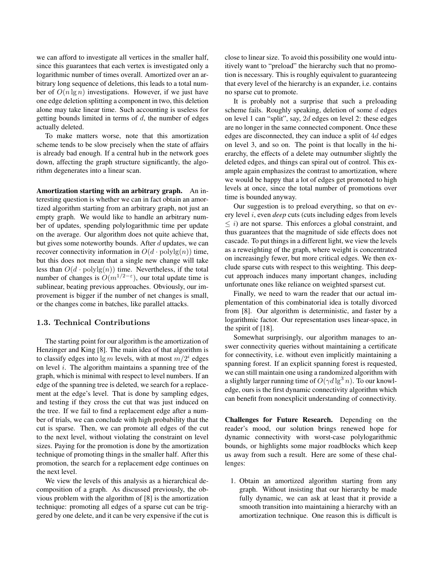we can afford to investigate all vertices in the smaller half, since this guarantees that each vertex is investigated only a logarithmic number of times overall. Amortized over an arbitrary long sequence of deletions, this leads to a total number of  $O(n \lg n)$  investigations. However, if we just have one edge deletion splitting a component in two, this deletion alone may take linear time. Such accounting is useless for getting bounds limited in terms of  $d$ , the number of edges actually deleted.

To make matters worse, note that this amortization scheme tends to be slow precisely when the state of affairs is already bad enough. If a central hub in the network goes down, affecting the graph structure significantly, the algorithm degenerates into a linear scan.

Amortization starting with an arbitrary graph. An interesting question is whether we can in fact obtain an amortized algorithm starting from an arbitrary graph, not just an empty graph. We would like to handle an arbitrary number of updates, spending polylogarithmic time per update on the average. Our algorithm does not quite achieve that, but gives some noteworthy bounds. After d updates, we can recover connectivity information in  $O(d \cdot \text{polylg}(n))$  time, but this does not mean that a single new change will take less than  $O(d \cdot \text{polylg}(n))$  time. Nevertheless, if the total number of changes is  $O(m^{1/2-\epsilon})$ , our total update time is sublinear, beating previous approaches. Obviously, our improvement is bigger if the number of net changes is small, or the changes come in batches, like parallel attacks.

### 1.3. Technical Contributions

The starting point for our algorithm is the amortization of Henzinger and King [8]. The main idea of that algorithm is to classify edges into  $\lg m$  levels, with at most  $m/2^i$  edges on level  $i$ . The algorithm maintains a spanning tree of the graph, which is minimal with respect to level numbers. If an edge of the spanning tree is deleted, we search for a replacement at the edge's level. That is done by sampling edges, and testing if they cross the cut that was just induced on the tree. If we fail to find a replacement edge after a number of trials, we can conclude with high probability that the cut is sparse. Then, we can promote all edges of the cut to the next level, without violating the constraint on level sizes. Paying for the promotion is done by the amortization technique of promoting things in the smaller half. After this promotion, the search for a replacement edge continues on the next level.

We view the levels of this analysis as a hierarchical decomposition of a graph. As discussed previously, the obvious problem with the algorithm of [8] is the amortization technique: promoting all edges of a sparse cut can be triggered by one delete, and it can be very expensive if the cut is close to linear size. To avoid this possibility one would intuitively want to "preload" the hierarchy such that no promotion is necessary. This is roughly equivalent to guaranteeing that every level of the hierarchy is an expander, i.e. contains no sparse cut to promote.

It is probably not a surprise that such a preloading scheme fails. Roughly speaking, deletion of some  $d$  edges on level 1 can "split", say, 2d edges on level 2: these edges are no longer in the same connected component. Once these edges are disconnected, they can induce a split of 4d edges on level 3, and so on. The point is that locally in the hierarchy, the effects of a delete may outnumber slightly the deleted edges, and things can spiral out of control. This example again emphasizes the contrast to amortization, where we would be happy that a lot of edges get promoted to high levels at once, since the total number of promotions over time is bounded anyway.

Our suggestion is to preload everything, so that on every level i, even *deep* cuts (cuts including edges from levels  $\leq i$ ) are not sparse. This enforces a global constraint, and thus guarantees that the magnitude of side effects does not cascade. To put things in a different light, we view the levels as a reweighting of the graph, where weight is concentrated on increasingly fewer, but more critical edges. We then exclude sparse cuts with respect to this weighting. This deepcut approach induces many important changes, including unfortunate ones like reliance on weighted sparsest cut.

Finally, we need to warn the reader that our actual implementation of this combinatorial idea is totally divorced from [8]. Our algorithm is deterministic, and faster by a logarithmic factor. Our representation uses linear-space, in the spirit of [18].

Somewhat surprisingly, our algorithm manages to answer connectivity queries without maintaining a certificate for connectivity, i.e. without even implicitly maintaining a spanning forest. If an explicit spanning forest is requested, we can still maintain one using a randomized algorithm with a slightly larger running time of  $O(\gamma d \lg^3 n)$ . To our knowledge, ours is the first dynamic connectivity algorithm which can benefit from nonexplicit understanding of connectivity.

Challenges for Future Research. Depending on the reader's mood, our solution brings renewed hope for dynamic connectivity with worst-case polylogarithmic bounds, or highlights some major roadblocks which keep us away from such a result. Here are some of these challenges:

1. Obtain an amortized algorithm starting from any graph. Without insisting that our hierarchy be made fully dynamic, we can ask at least that it provide a smooth transition into maintaining a hierarchy with an amortization technique. One reason this is difficult is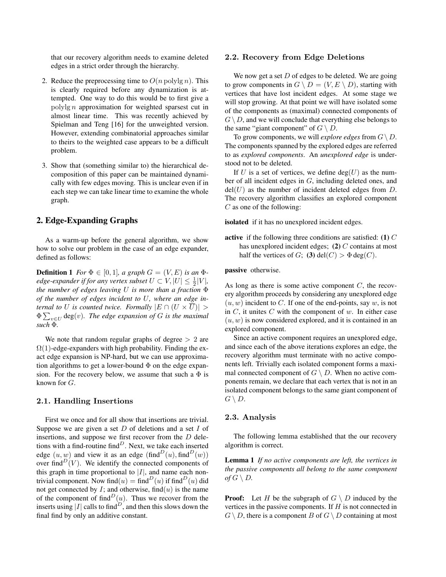that our recovery algorithm needs to examine deleted edges in a strict order through the hierarchy.

- 2. Reduce the preprocessing time to  $O(n \text{ polylg } n)$ . This is clearly required before any dynamization is attempted. One way to do this would be to first give a polylg *n* approximation for weighted sparsest cut in almost linear time. This was recently achieved by Spielman and Teng [16] for the unweighted version. However, extending combinatorial approaches similar to theirs to the weighted case appears to be a difficult problem.
- 3. Show that (something similar to) the hierarchical decomposition of this paper can be maintained dynamically with few edges moving. This is unclear even if in each step we can take linear time to examine the whole graph.

# 2. Edge-Expanding Graphs

As a warm-up before the general algorithm, we show how to solve our problem in the case of an edge expander, defined as follows:

**Definition 1** *For*  $\Phi \in [0, 1]$ *, a graph*  $G = (V, E)$  *is an*  $\Phi$ *edge-expander if for any vertex subset*  $U \subset V, |U| \leq \frac{1}{2}|V|$ , *the number of edges leaving* U *is more than a fraction* Φ *of the number of edges incident to* U*, where an edge internal to* U *is counted twice. Formally*  $|E \cap (U \times \overline{U})|$  $\Phi \sum_{v \in U} \deg(v)$ . The edge expansion of G is the maximal *such* Φ*.*

We note that random regular graphs of degree  $> 2$  are  $\Omega(1)$ -edge-expanders with high probability. Finding the exact edge expansion is NP-hard, but we can use approximation algorithms to get a lower-bound  $\Phi$  on the edge expansion. For the recovery below, we assume that such a  $\Phi$  is known for G.

### 2.1. Handling Insertions

First we once and for all show that insertions are trivial. Suppose we are given a set  $D$  of deletions and a set  $I$  of insertions, and suppose we first recover from the D deletions with a find-routine find $D$ . Next, we take each inserted edge  $(u, w)$  and view it as an edge (find<sup>D</sup> $(u)$ , find<sup>D</sup> $(w)$ ) over find $D(V)$ . We identify the connected components of this graph in time proportional to  $|I|$ , and name each nontrivial component. Now find(u) = find $D(u)$  if find $D(u)$  did not get connected by  $I$ ; and otherwise, find $(u)$  is the name of the component of find $D(u)$ . Thus we recover from the inserts using |I| calls to find<sup>D</sup>, and then this slows down the final find by only an additive constant.

### 2.2. Recovery from Edge Deletions

We now get a set  $D$  of edges to be deleted. We are going to grow components in  $G \setminus D = (V, E \setminus D)$ , starting with vertices that have lost incident edges. At some stage we will stop growing. At that point we will have isolated some of the components as (maximal) connected components of  $G \setminus D$ , and we will conclude that everything else belongs to the same "giant component" of  $G \setminus D$ .

To grow components, we will *explore edges* from  $G \setminus D$ . The components spanned by the explored edges are referred to as *explored components*. An *unexplored edge* is understood not to be deleted.

If U is a set of vertices, we define  $deg(U)$  as the number of all incident edges in G, including deleted ones, and  $del(U)$  as the number of incident deleted edges from D. The recovery algorithm classifies an explored component  $C$  as one of the following:

isolated if it has no unexplored incident edges.

active if the following three conditions are satisfied: (1) C has unexplored incident edges;  $(2)$  C contains at most half the vertices of G; (3) del(C) >  $\Phi$  deg(C).

passive otherwise.

As long as there is some active component  $C$ , the recovery algorithm proceeds by considering any unexplored edge  $(u, w)$  incident to C. If one of the end-points, say w, is not in  $C$ , it unites  $C$  with the component of  $w$ . In either case  $(u, w)$  is now considered explored, and it is contained in an explored component.

Since an active component requires an unexplored edge, and since each of the above iterations explores an edge, the recovery algorithm must terminate with no active components left. Trivially each isolated component forms a maximal connected component of  $G \setminus D$ . When no active components remain, we declare that each vertex that is not in an isolated component belongs to the same giant component of  $G \setminus D$ .

### 2.3. Analysis

The following lemma established that the our recovery algorithm is correct.

Lemma 1 *If no active components are left, the vertices in the passive components all belong to the same component of*  $G \setminus D$ .

**Proof:** Let H be the subgraph of  $G \setminus D$  induced by the vertices in the passive components. If H is not connected in  $G \setminus D$ , there is a component B of  $G \setminus D$  containing at most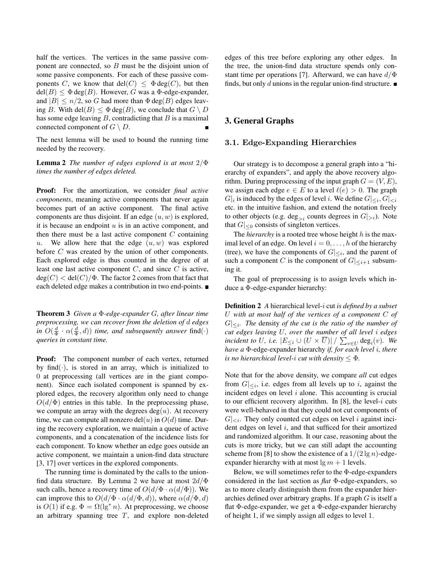half the vertices. The vertices in the same passive component are connected, so  $B$  must be the disjoint union of some passive components. For each of these passive components C, we know that  $del(C) \leq \Phi deg(C)$ , but then  $del(B) \leq \Phi deg(B)$ . However, G was a  $\Phi$ -edge-expander, and  $|B| \leq n/2$ , so G had more than  $\Phi$  deg(B) edges leaving B. With del(B)  $\leq \Phi$  deg(B), we conclude that  $G \setminus D$ has some edge leaving  $B$ , contradicting that  $B$  is a maximal connected component of  $G \setminus D$ .

The next lemma will be used to bound the running time needed by the recovery.

Lemma 2 *The number of edges explored is at most* 2/Φ *times the number of edges deleted.*

Proof: For the amortization, we consider *final active components*, meaning active components that never again becomes part of an active component. The final active components are thus disjoint. If an edge  $(u, w)$  is explored, it is because an endpoint  $u$  is in an active component, and then there must be a last active component  $C$  containing u. We allow here that the edge  $(u, w)$  was explored before C was created by the union of other components. Each explored edge is thus counted in the degree of at least one last active component  $C$ , and since  $C$  is active,  $deg(C) < del(C)/\Phi$ . The factor 2 comes from that fact that each deleted edge makes a contribution in two end-points.

Theorem 3 *Given a* Φ*-edge-expander* G*, after linear time preprocessing, we can recover from the deletion of* d *edges in*  $O(\frac{d}{\Phi} \cdot \alpha(\frac{d}{\Phi}, d))$  *time, and subsequently answer* find $(\cdot)$ *queries in constant time.*

**Proof:** The component number of each vertex, returned by find( $\cdot$ ), is stored in an array, which is initialized to 0 at preprocessing (all vertices are in the giant component). Since each isolated component is spanned by explored edges, the recovery algorithm only need to change  $O(d/\Phi)$  entries in this table. In the preprocessing phase, we compute an array with the degrees  $deg(u)$ . At recovery time, we can compute all nonzero del(u) in  $O(d)$  time. During the recovery exploration, we maintain a queue of active components, and a concatenation of the incidence lists for each component. To know whether an edge goes outside an active component, we maintain a union-find data structure [3, 17] over vertices in the explored components.

The running time is dominated by the calls to the unionfind data structure. By Lemma 2 we have at most  $2d/\Phi$ such calls, hence a recovery time of  $O(d/\Phi \cdot \alpha(d/\Phi))$ . We can improve this to  $O(d/\Phi \cdot \alpha(d/\Phi, d))$ , where  $\alpha(d/\Phi, d)$ is  $O(1)$  if e.g.  $\Phi = \Omega(\lg^* n)$ . At preprocessing, we choose an arbitrary spanning tree  $T$ , and explore non-deleted

edges of this tree before exploring any other edges. In the tree, the union-find data structure spends only constant time per operations [7]. Afterward, we can have  $d/\Phi$ finds, but only d unions in the regular union-find structure.  $\blacksquare$ 

# 3. General Graphs

### 3.1. Edge-Expanding Hierarchies

Our strategy is to decompose a general graph into a "hierarchy of expanders", and apply the above recovery algorithm. During preprocessing of the input graph  $G = (V, E)$ , we assign each edge  $e \in E$  to a level  $\ell(e) > 0$ . The graph  $|G|_i$  is induced by the edges of level i. We define  $|G| \leq i$  ,  $|G| \leq i$ etc. in the intuitive fashion, and extend the notation freely to other objects (e.g. deg<sub>>i</sub> counts degrees in  $G|_{\geq i}$ ). Note that  $G|_{\leq 0}$  consists of singleton vertices.

The *hierarchy* is a rooted tree whose height h is the maximal level of an edge. On level  $i = 0, \ldots, h$  of the hierarchy (tree), we have the components of  $G|_{\leq i}$ , and the parent of such a component C is the component of  $G|_{\leq i+1}$  subsuming it.

The goal of preprocessing is to assign levels which induce a Φ-edge-expander hierarchy:

Definition 2 *A* hierarchical level-i cut *is defined by a subset* U *with at most half of the vertices of a component* C *of*  $G|_{\leq i}$ . The density *of the cut is the ratio of the number of cut edges leaving* U*, over the number of all level* i *edges incident to U, i.e.*  $|E_{\leq i} \cup (U \times \overline{U})| / \sum_{v \in U} deg_i(v)$ *. We have a* Φ-edge-expander hierarchy *if, for each level* i*, there is no hierarchical level-i cut with density*  $\leq \Phi$ *.* 

Note that for the above density, we compare *all* cut edges from  $G|_{\leq i}$ , i.e. edges from all levels up to i, against the incident edges on level  $i$  alone. This accounting is crucial to our efficient recovery algorithm. In [8], the level-i cuts were well-behaved in that they could not cut components of  $G|_{\leq i}$ . They only counted cut edges on level i against incident edges on level  $i$ , and that sufficed for their amortized and randomized algorithm. It our case, reasoning about the cuts is more tricky, but we can still adapt the accounting scheme from [8] to show the existence of a  $1/(2 \lg n)$ -edgeexpander hierarchy with at most  $\lg m + 1$  levels.

Below, we will sometimes refer to the Φ-edge-expanders considered in the last section as *flat* Φ-edge-expanders, so as to more clearly distinguish them from the expander hierarchies defined over arbitrary graphs. If a graph  $G$  is itself a flat Φ-edge-expander, we get a Φ-edge-expander hierarchy of height 1, if we simply assign all edges to level 1.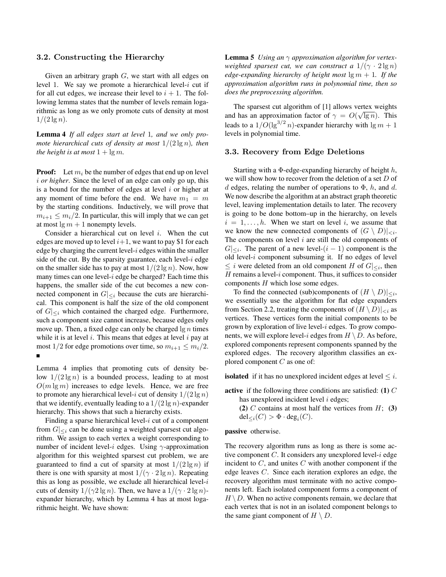### 3.2. Constructing the Hierarchy

Given an arbitrary graph  $G$ , we start with all edges on level 1. We say we promote a hierarchical level- $i$  cut if for all cut edges, we increase their level to  $i + 1$ . The following lemma states that the number of levels remain logarithmic as long as we only promote cuts of density at most  $1/(2 \lg n).$ 

Lemma 4 *If all edges start at level* 1*, and we only promote hierarchical cuts of density at most* 1/(2 lg n)*, then the height is at most*  $1 + \lg m$ *.* 

**Proof:** Let  $m_i$  be the number of edges that end up on level i *or higher*. Since the level of an edge can only go up, this is a bound for the number of edges at level  $i$  or higher at any moment of time before the end. We have  $m_1 = m$ by the starting conditions. Inductively, we will prove that  $m_{i+1} \leq m_i/2$ . In particular, this will imply that we can get at most  $\lg m + 1$  nonempty levels.

Consider a hierarchical cut on level  $i$ . When the cut edges are moved up to level  $i+1$ , we want to pay \$1 for each edge by charging the current level- $i$  edges within the smaller side of the cut. By the sparsity guarantee, each level- $i$  edge on the smaller side has to pay at most  $1/(2 \lg n)$ . Now, how many times can one level- $i$  edge be charged? Each time this happens, the smaller side of the cut becomes a new connected component in  $G|_{\leq i}$  because the cuts are hierarchical. This component is half the size of the old component of  $G|_{\leq i}$  which contained the charged edge. Furthermore, such a component size cannot increase, because edges only move up. Then, a fixed edge can only be charged  $\lg n$  times while it is at level  $i$ . This means that edges at level  $i$  pay at most 1/2 for edge promotions over time, so  $m_{i+1} \leq m_i/2$ .  $\blacksquare$ 

Lemma 4 implies that promoting cuts of density below  $1/(2 \lg n)$  is a bounded process, leading to at most  $O(m \lg m)$  increases to edge levels. Hence, we are free to promote any hierarchical level-i cut of density  $1/(2 \lg n)$ that we identify, eventually leading to a  $1/(2 \lg n)$ -expander hierarchy. This shows that such a hierarchy exists.

Finding a sparse hierarchical level- $i$  cut of a component from  $G|_{\leq i}$  can be done using a weighted sparsest cut algorithm. We assign to each vertex a weight corresponding to number of incident level-i edges. Using  $\gamma$ -approximation algorithm for this weighted sparsest cut problem, we are guaranteed to find a cut of sparsity at most  $1/(2 \lg n)$  if there is one with sparsity at most  $1/(\gamma \cdot 2 \lg n)$ . Repeating this as long as possible, we exclude all hierarchical level- $i$ cuts of density  $1/(\gamma 2 \lg n)$ . Then, we have a  $1/(\gamma \cdot 2 \lg n)$ expander hierarchy, which by Lemma 4 has at most logarithmic height. We have shown:

Lemma 5 *Using an* γ *approximation algorithm for vertexweighted sparsest cut, we can construct a*  $1/(\gamma \cdot 2 \lg n)$ *edge-expanding hierarchy of height most* lg m + 1*. If the approximation algorithm runs in polynomial time, then so does the preprocessing algorithm.*

The sparsest cut algorithm of [1] allows vertex weights and has an approximation factor of  $\gamma = O(\sqrt{\lg n})$ . This leads to a  $1/O(\lg^{3/2} n)$ -expander hierarchy with  $\lg m + 1$ levels in polynomial time.

### 3.3. Recovery from Edge Deletions

Starting with a  $\Phi$ -edge-expanding hierarchy of height h, we will show how to recover from the deletion of a set D of d edges, relating the number of operations to  $\Phi$ , h, and d. We now describe the algorithm at an abstract graph theoretic level, leaving implementation details to later. The recovery is going to be done bottom–up in the hierarchy, on levels  $i = 1, \ldots, h$ . When we start on level i, we assume that we know the new connected components of  $(G \setminus D)|_{\leq i}$ . The components on level  $i$  are still the old components of  $G|_{\leq i}$ . The parent of a new level- $(i-1)$  component is the old level- $i$  component subsuming it. If no edges of level  $\leq i$  were deleted from an old component H of  $G|_{\leq i}$ , then  $H$  remains a level-i component. Thus, it suffices to consider components H which lose some edges.

To find the connected (sub)components of  $(H \setminus D)|_{\leq i}$ , we essentially use the algorithm for flat edge expanders from Section 2.2, treating the components of  $(H \setminus D)|_{\leq i}$  as vertices. These vertices form the initial components to be grown by exploration of live level- $i$  edges. To grow components, we will explore level-i edges from  $H \setminus D$ . As before, explored components represent components spanned by the explored edges. The recovery algorithm classifies an explored component  $C$  as one of:

**isolated** if it has no unexplored incident edges at level  $\leq i$ .

active if the following three conditions are satisfied: (1) C has unexplored incident level  $i$  edges;

(2) C contains at most half the vertices from  $H$ ; (3)  $\text{del}_{\leq i}(C) > \Phi \cdot \text{deg}_i(C).$ 

#### passive otherwise.

The recovery algorithm runs as long as there is some active component  $C$ . It considers any unexplored level- $i$  edge incident to  $C$ , and unites  $C$  with another component if the edge leaves C. Since each iteration explores an edge, the recovery algorithm must terminate with no active components left. Each isolated component forms a component of  $H \setminus D$ . When no active components remain, we declare that each vertex that is not in an isolated component belongs to the same giant component of  $H \setminus D$ .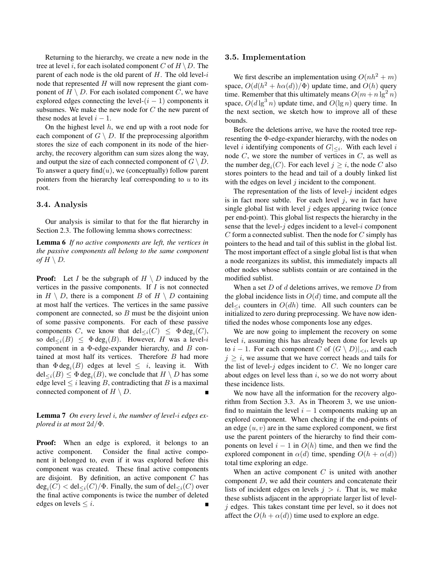Returning to the hierarchy, we create a new node in the tree at level i, for each isolated component C of  $H \setminus D$ . The parent of each node is the old parent of  $H$ . The old level-i node that represented  $H$  will now represent the giant component of  $H \setminus D$ . For each isolated component C, we have explored edges connecting the level- $(i - 1)$  components it subsumes. We make the new node for C the new parent of these nodes at level  $i - 1$ .

On the highest level  $h$ , we end up with a root node for each component of  $G \setminus D$ . If the preprocessing algorithm stores the size of each component in its node of the hierarchy, the recovery algorithm can sum sizes along the way, and output the size of each connected component of  $G \setminus D$ . To answer a query find $(u)$ , we (conceptually) follow parent pointers from the hierarchy leaf corresponding to  $u$  to its root.

### 3.4. Analysis

Our analysis is similar to that for the flat hierarchy in Section 2.3. The following lemma shows correctness:

Lemma 6 *If no active components are left, the vertices in the passive components all belong to the same component of*  $H \setminus D$ .

**Proof:** Let I be the subgraph of  $H \setminus D$  induced by the vertices in the passive components. If  $I$  is not connected in  $H \setminus D$ , there is a component B of  $H \setminus D$  containing at most half the vertices. The vertices in the same passive component are connected, so B must be the disjoint union of some passive components. For each of these passive components C, we know that  $\text{del}_{\leq i}(C) \leq \Phi \text{deg}_i(C)$ , so del $\leq_i(B) \leq \Phi \deg_i(B)$ . However, H was a level- $i$ component in a  $\Phi$ -edge-expander hierarchy, and  $B$  contained at most half its vertices. Therefore B had more than  $\Phi \deg_i(B)$  edges at level  $\leq i$ , leaving it. With  $\text{del}_{\leq i}(B) \leq \Phi \text{deg}_i(B)$ , we conclude that  $H \setminus D$  has some edge level  $\leq i$  leaving B, contradicting that B is a maximal connected component of  $H \setminus D$ .

Lemma 7 *On every level* i*, the number of level-*i *edges explored is at most* 2d/Φ*.*

**Proof:** When an edge is explored, it belongs to an active component. Consider the final active component it belonged to, even if it was explored before this component was created. These final active components are disjoint. By definition, an active component  $C$  has  $\deg_i(C) < \text{del}_{\leq i}(C)/\Phi$ . Finally, the sum of  $\text{del}_{\leq i}(C)$  over the final active components is twice the number of deleted edges on levels  $\leq i$ .

#### 3.5. Implementation

We first describe an implementation using  $O(nh^2 + m)$ space,  $O(d(h^2 + h\alpha(d))/\Phi)$  update time, and  $O(h)$  query time. Remember that this ultimately means  $O(m + n \lg^2 n)$ space,  $O(d \lg^3 n)$  update time, and  $O(\lg n)$  query time. In the next section, we sketch how to improve all of these bounds.

Before the deletions arrive, we have the rooted tree representing the Φ-edge-expander hierarchy, with the nodes on level *i* identifying components of  $G|_{\leq i}$ . With each level *i* node  $C$ , we store the number of vertices in  $C$ , as well as the number  $\deg_i(C)$ . For each level  $j \geq i$ , the node C also stores pointers to the head and tail of a doubly linked list with the edges on level  $j$  incident to the component.

The representation of the lists of level- $j$  incident edges is in fact more subtle. For each level  $j$ , we in fact have single global list with level  $j$  edges appearing twice (once per end-point). This global list respects the hierarchy in the sense that the level- $i$  edges incident to a level- $i$  component  $C$  form a connected sublist. Then the node for  $C$  simply has pointers to the head and tail of this sublist in the global list. The most important effect of a single global list is that when a node reorganizes its sublist, this immediately impacts all other nodes whose sublists contain or are contained in the modified sublist.

When a set  $D$  of  $d$  deletions arrives, we remove  $D$  from the global incidence lists in  $O(d)$  time, and compute all the  $del_{\leq i}$  counters in  $O(dh)$  time. All such counters can be initialized to zero during preprocessing. We have now identified the nodes whose components lose any edges.

We are now going to implement the recovery on some level i, assuming this has already been done for levels up to  $i - 1$ . For each component C of  $(G \setminus D)|_{\leq i}$ , and each  $j \geq i$ , we assume that we have correct heads and tails for the list of level- $j$  edges incident to  $C$ . We no longer care about edges on level less than  $i$ , so we do not worry about these incidence lists.

We now have all the information for the recovery algorithm from Section 3.3. As in Theorem 3, we use unionfind to maintain the level  $i - 1$  components making up an explored component. When checking if the end-points of an edge  $(u, v)$  are in the same explored component, we first use the parent pointers of the hierarchy to find their components on level  $i - 1$  in  $O(h)$  time, and then we find the explored component in  $\alpha(d)$  time, spending  $O(h + \alpha(d))$ total time exploring an edge.

When an active component  $C$  is united with another component D, we add their counters and concatenate their lists of incident edges on levels  $j > i$ . That is, we make these sublists adjacent in the appropriate larger list of levelj edges. This takes constant time per level, so it does not affect the  $O(h + \alpha(d))$  time used to explore an edge.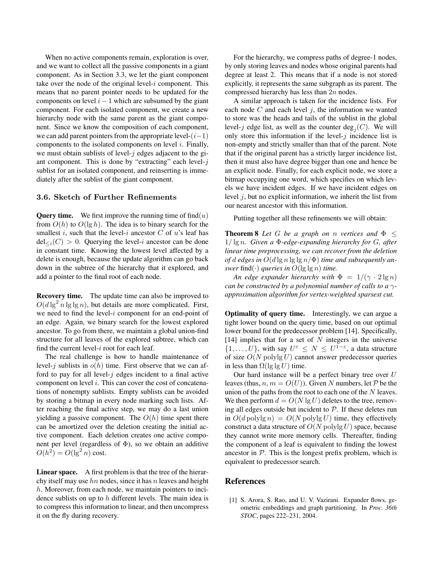When no active components remain, exploration is over, and we want to collect all the passive components in a giant component. As in Section 3.3, we let the giant component take over the node of the original level- $i$  component. This means that no parent pointer needs to be updated for the components on level  $i - 1$  which are subsumed by the giant component. For each isolated component, we create a new hierarchy node with the same parent as the giant component. Since we know the composition of each component, we can add parent pointers from the appropriate level- $(i-1)$ components to the isolated components on level  $i$ . Finally, we must obtain sublists of level- $j$  edges adjacent to the giant component. This is done by "extracting" each level- $j$ sublist for an isolated component, and reinserting is immediately after the sublist of the giant component.

### 3.6. Sketch of Further Refinements

**Query time.** We first improve the running time of find $(u)$ from  $O(h)$  to  $O(\lg h)$ . The idea is to binary search for the smallest i, such that the level-i ancestor  $C$  of  $u$ 's leaf has  $\text{del}_{\leq i}(C) > 0$ . Querying the level-*i* ancestor can be done in constant time. Knowing the lowest level affected by a delete is enough, because the update algorithm can go back down in the subtree of the hierarchy that it explored, and add a pointer to the final root of each node.

Recovery time. The update time can also be improved to  $O(d \lg^2 n \lg \lg n)$ , but details are more complicated. First, we need to find the level-i component for an end-point of an edge. Again, we binary search for the lowest explored ancestor. To go from there, we maintain a global union-find structure for all leaves of the explored subtree, which can find the current level- $i$  root for each leaf.

The real challenge is how to handle maintenance of level-j sublists in  $o(h)$  time. First observe that we can afford to pay for all level- $j$  edges incident to a final active component on level i. This can cover the cost of concatenations of nonempty sublists. Empty sublists can be avoided by storing a bitmap in every node marking such lists. After reaching the final active step, we may do a last union yielding a passive component. The  $O(h)$  time spent there can be amortized over the deletion creating the initial active component. Each deletion creates one active component per level (regardless of  $\Phi$ ), so we obtain an additive  $O(h^2) = O(\lg^2 n) \cos t$ .

Linear space. A first problem is that the tree of the hierarchy itself may use  $hn$  nodes, since it has n leaves and height h. Moreover, from each node, we maintain pointers to incidence sublists on up to h different levels. The main idea is to compress this information to linear, and then uncompress it on the fly during recovery.

For the hierarchy, we compress paths of degree-1 nodes, by only storing leaves and nodes whose original parents had degree at least 2. This means that if a node is not stored explicitly, it represents the same subgraph as its parent. The compressed hierarchy has less than 2n nodes.

A similar approach is taken for the incidence lists. For each node  $C$  and each level  $j$ , the information we wanted to store was the heads and tails of the sublist in the global level-j edge list, as well as the counter  $deg_j(C)$ . We will only store this information if the level- $j$  incidence list is non-empty and strictly smaller than that of the parent. Note that if the original parent has a strictly larger incidence list, then it must also have degree bigger than one and hence be an explicit node. Finally, for each explicit node, we store a bitmap occupying one word, which specifies on which levels we have incident edges. If we have incident edges on level  $j$ , but no explicit information, we inherit the list from our nearest ancestor with this information.

Putting together all these refinements we will obtain:

**Theorem 8** Let G be a graph on n vertices and  $\Phi \leq$ 1/ lg n*. Given a* Φ*-edge-expanding hierarchy for* G*, after linear time preprocessing, we can recover from the deletion of d* edges in  $O(d \lg n \lg \lg n / \Phi)$  *time and subsequently answer* find( $\cdot$ ) *queries in*  $O(\lg \lg n)$  *time.* 

*An edge expander hierarchy with*  $\Phi = 1/(\gamma \cdot 2 \lg n)$ *can be constructed by a polynomial number of calls to a* γ*approximation algorithm for vertex-weighted sparsest cut.*

Optimality of query time. Interestingly, we can argue a tight lower bound on the query time, based on our optimal lower bound for the predecessor problem [14]. Specifically, [14] implies that for a set of  $N$  integers in the universe  $\{1,\ldots,U\}$ , with say  $U^{\varepsilon} \leq N \leq U^{1-\varepsilon}$ , a data structure of size  $O(N \text{ polylg } U)$  cannot answer predecessor queries in less than  $\Omega(\lg\lg U)$  time.

Our hard instance will be a perfect binary tree over  $U$ leaves (thus,  $n, m = O(U)$ ). Given N numbers, let P be the union of the paths from the root to each one of the  $N$  leaves. We then perform  $d = O(N \lg U)$  deletes to the tree, removing all edges outside but incident to  $P$ . If these deletes run in  $O(d \text{ polylg } n) = O(N \text{ polylg } U)$  time, they effectively construct a data structure of  $O(N \text{ polylg } U)$  space, because they cannot write more memory cells. Thereafter, finding the component of a leaf is equivalent to finding the lowest ancestor in  $P$ . This is the longest prefix problem, which is equivalent to predecessor search.

## References

[1] S. Arora, S. Rao, and U. V. Vazirani. Expander flows, geometric embeddings and graph partitioning. In *Proc. 36th STOC*, pages 222–231, 2004.